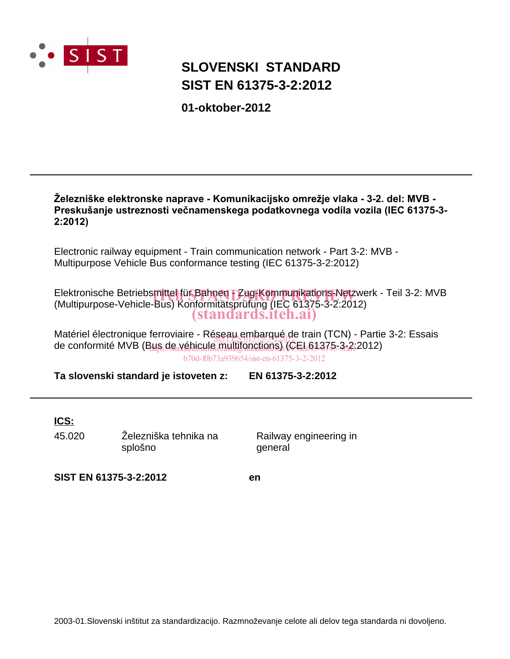

## **SIST EN 61375-3-2:2012 SLOVENSKI STANDARD**

**01-oktober-2012**

### Železniške elektronske naprave - Komunikacijsko omrežje vlaka - 3-2. del: MVB -Preskušanje ustreznosti večnamenskega podatkovnega vodila vozila (IEC 61375-3-

Electronic railway equipment - Train communication network - Part 3-2: MVB - Multipurpose Vehicle Bus conformance testing (IEC 61375-3-2:2012)

Elektronische Betriebsmittel für Bahnen DZug-Kommunikations-Netzwerk - Teil 3-2: MVB<br>(Multinurnose-Vehicle-Bus) Konformitätsprüfung (IEC 61375-3-2:2012) (Multipurpose-Vehicle-Bus) Konformitätsprüfung (IEC 61375-3-2:2012) (standards.iteh.ai)

Matériel électronique ferroviaire - Réseau embarqué de train (TCN) - Partie 3-2: Essais de conformité MVB (B<u>us de véhicule multifonctions) (CEI 61375-3<sub>d</sub>2:</u>2012) b70d-f0b73a939654/sist-en-61375-3-2-2012

**Ta slovenski standard je istoveten z: EN 61375-3-2:2012**

**ICS:**

45.020 Železniška tehnika na splošno

Railway engineering in general

**SIST EN 61375-3-2:2012 en**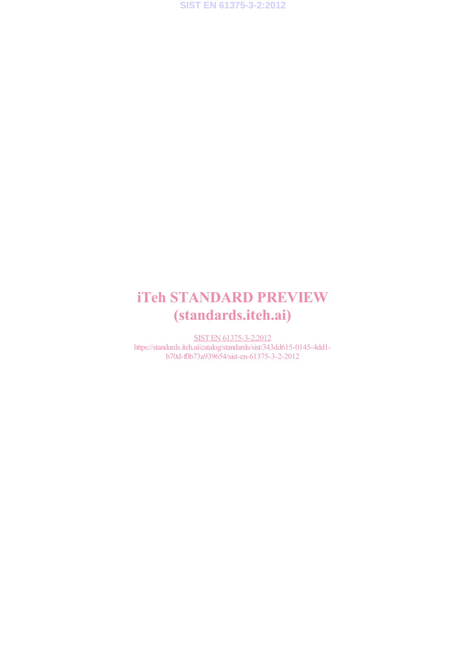# iTeh STANDARD PREVIEW (standards.iteh.ai)

SIST EN 61375-3-2:2012 https://standards.iteh.ai/catalog/standards/sist/343dd615-0145-4dd1 b70d-f0b73a939654/sist-en-61375-3-2-2012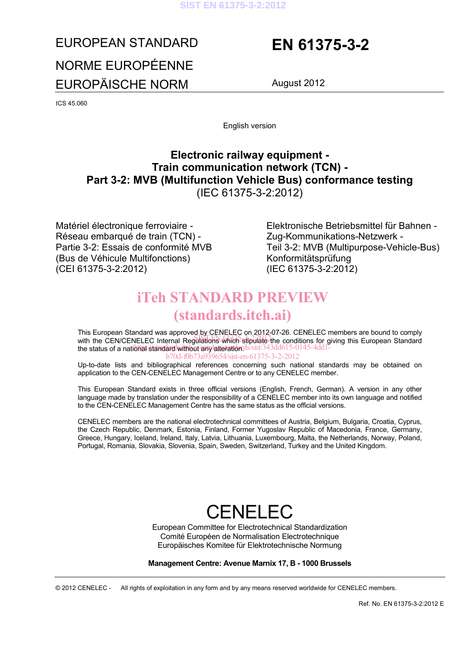#### **SIST EN 61375-3-2:2012**

# EUROPEAN STANDARD **EN 61375-3-2** NORME EUROPÉENNE EUROPÄISCHE NORM August 2012

ICS 45.060

English version

## **Electronic railway equipment - Train communication network (TCN) - Part 3-2: MVB (Multifunction Vehicle Bus) conformance testing**  (IEC 61375-3-2:2012)

Matériel électronique ferroviaire - Réseau embarqué de train (TCN) - Partie 3-2: Essais de conformité MVB (Bus de Véhicule Multifonctions) (CEI 61375-3-2:2012)

 Elektronische Betriebsmittel für Bahnen - Zug-Kommunikations-Netzwerk - Teil 3-2: MVB (Multipurpose-Vehicle-Bus) Konformitätsprüfung (IEC 61375-3-2:2012)

# iTeh STANDARD PREVIEW (standards.iteh.ai)

This European Standard was approved by CENELEC on 2012-07-26. CENELEC members are bound to comply with the CEN/CENELEC Internal Regulations which stipulate the conditions for giving this European Standard the status of a national standard without any latteration ds/sist/343dd615-0145-4dd1b70d-f0b73a939654/sist-en-61375-3-2-2012

Up-to-date lists and bibliographical references concerning such national standards may be obtained on application to the CEN-CENELEC Management Centre or to any CENELEC member.

This European Standard exists in three official versions (English, French, German). A version in any other language made by translation under the responsibility of a CENELEC member into its own language and notified to the CEN-CENELEC Management Centre has the same status as the official versions.

CENELEC members are the national electrotechnical committees of Austria, Belgium, Bulgaria, Croatia, Cyprus, the Czech Republic, Denmark, Estonia, Finland, Former Yugoslav Republic of Macedonia, France, Germany, Greece, Hungary, Iceland, Ireland, Italy, Latvia, Lithuania, Luxembourg, Malta, the Netherlands, Norway, Poland, Portugal, Romania, Slovakia, Slovenia, Spain, Sweden, Switzerland, Turkey and the United Kingdom.

# **CENELEC**

European Committee for Electrotechnical Standardization Comité Européen de Normalisation Electrotechnique Europäisches Komitee für Elektrotechnische Normung

#### **Management Centre: Avenue Marnix 17, B - 1000 Brussels**

© 2012 CENELEC - All rights of exploitation in any form and by any means reserved worldwide for CENELEC members.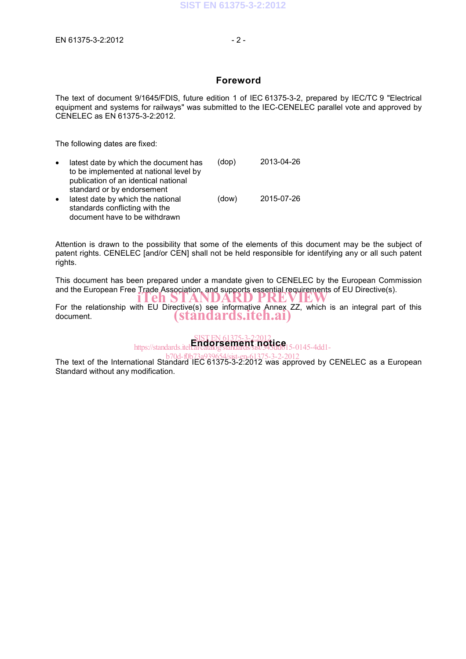#### **Foreword**

The text of document 9/1645/FDIS, future edition 1 of IEC 61375-3-2, prepared by IEC/TC 9 "Electrical equipment and systems for railways" was submitted to the IEC-CENELEC parallel vote and approved by CENELEC as EN 61375-3-2:2012.

The following dates are fixed:

document have to be withdrawn

| $\bullet$ | latest date by which the document has                               | (dop) | 2013-04-26 |
|-----------|---------------------------------------------------------------------|-------|------------|
|           | to be implemented at national level by                              |       |            |
|           | publication of an identical national                                |       |            |
|           | standard or by endorsement                                          |       |            |
| $\bullet$ | latest date by which the national<br>standards conflicting with the | (dow) | 2015-07-26 |

Attention is drawn to the possibility that some of the elements of this document may be the subject of patent rights. CENELEC [and/or CEN] shall not be held responsible for identifying any or all such patent rights.

This document has been prepared under a mandate given to CENELEC by the European Commission and the European Free Trade Association, and supports essential requirements of EU Directive(s).

For the relationship with EU Directive(s) see informative Annex ZZ, which is an integral part of this and the relationship with EU Directive(s) see informative Annex ZZ, which is an integral part of this document. (standards.iteh.ai)

#### **Endorsement notice**  SIST EN 61375-3-2:2012 https://standards.iteh.ai/catalog/standards/sist/343dd615-0145-4dd1-

b70d-f0b73a939654/sist-en-61375-3-2-2012<br>The text of the International Standard IEC 61375-3-2:2012 was approved by CENELEC as a European Standard without any modification.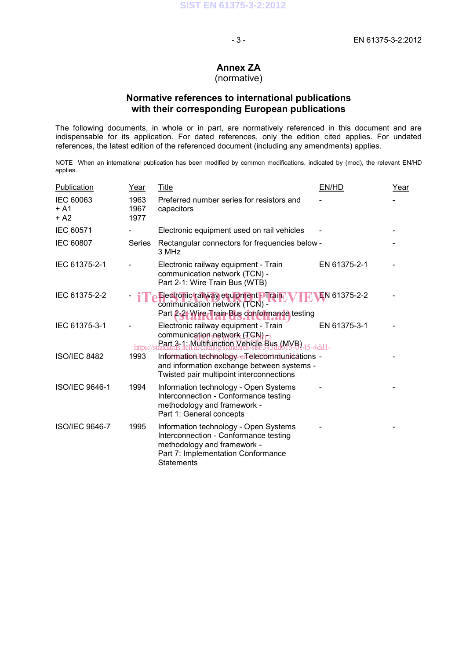## **Annex ZA**

#### (normative)

#### **Normative references to international publications with their corresponding European publications**

The following documents, in whole or in part, are normatively referenced in this document and are indispensable for its application. For dated references, only the edition cited applies. For undated references, the latest edition of the referenced document (including any amendments) applies.

NOTE When an international publication has been modified by common modifications, indicated by (mod), the relevant EN/HD applies.

| Publication                 | Year                 | <b>Title</b>                                                                                                                                                                 | EN/HD        | Year |
|-----------------------------|----------------------|------------------------------------------------------------------------------------------------------------------------------------------------------------------------------|--------------|------|
| IEC 60063<br>+ A1<br>$+ A2$ | 1963<br>1967<br>1977 | Preferred number series for resistors and<br>capacitors                                                                                                                      |              |      |
| IEC 60571                   |                      | Electronic equipment used on rail vehicles                                                                                                                                   |              |      |
| <b>IEC 60807</b>            | <b>Series</b>        | Rectangular connectors for frequencies below -<br>3 MHz                                                                                                                      |              |      |
| IEC 61375-2-1               |                      | Electronic railway equipment - Train<br>communication network (TCN) -<br>Part 2-1: Wire Train Bus (WTB)                                                                      | EN 61375-2-1 |      |
| IEC 61375-2-2               |                      | o Electronic railway equipment DTrain<br>communication network (TCN) -<br>Part 2-21 Wire Train Bus conformance testing                                                       | EN 61375-2-2 |      |
| IEC 61375-3-1               | https://s            | Electronic railway equipment - Train<br>communication network (TCN)<br>Part 3-1: Multifunction Vehicle Bus (MVB)<br>andards.nel.avcalatog/standards/sist 34380013-0145-4dd1- | EN 61375-3-1 |      |
| <b>ISO/IEC 8482</b>         | 1993                 | Information technology-en-elecommunications -<br>and information exchange between systems -<br>Twisted pair multipoint interconnections                                      |              |      |
| <b>ISO/IEC 9646-1</b>       | 1994                 | Information technology - Open Systems<br>Interconnection - Conformance testing<br>methodology and framework -<br>Part 1: General concepts                                    |              |      |
| <b>ISO/IEC 9646-7</b>       | 1995                 | Information technology - Open Systems<br>Interconnection - Conformance testing<br>methodology and framework -<br>Part 7: Implementation Conformance<br><b>Statements</b>     |              |      |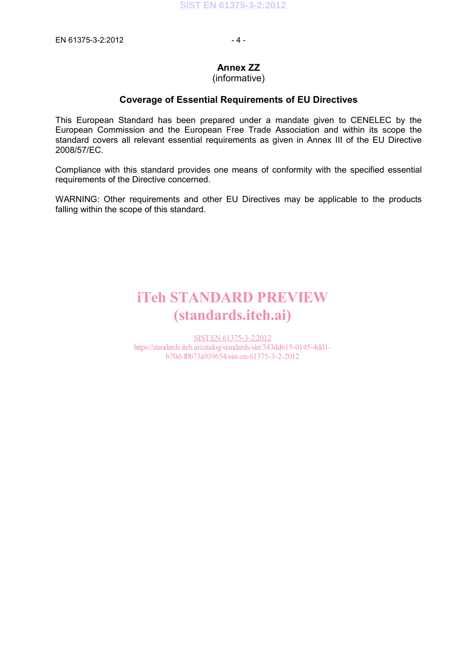### **Annex ZZ**

#### (informative)

#### **Coverage of Essential Requirements of EU Directives**

This European Standard has been prepared under a mandate given to CENELEC by the European Commission and the European Free Trade Association and within its scope the standard covers all relevant essential requirements as given in Annex III of the EU Directive 2008/57/EC.

Compliance with this standard provides one means of conformity with the specified essential requirements of the Directive concerned.

WARNING: Other requirements and other EU Directives may be applicable to the products falling within the scope of this standard.

# iTeh STANDARD PREVIEW (standards.iteh.ai)

SIST EN 61375-3-2:2012 https://standards.iteh.ai/catalog/standards/sist/343dd615-0145-4dd1 b70d-f0b73a939654/sist-en-61375-3-2-2012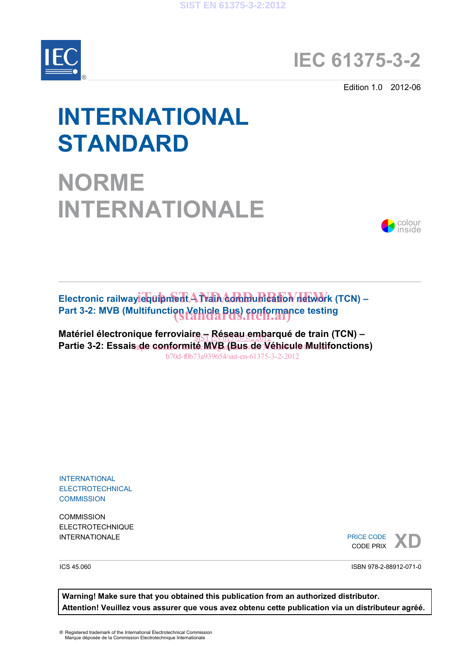



Edition 1.0 2012-06

# **INTERNATIONAL STANDARD**

# **NORME INTERNATIONALE**



Electronic railway equipment **4 Train communication network** (TCN) – **Part 3-2: MVB (Multifunction Vehicle Bus) conformance testing** (standards.iteh.ai)

**Matériel électronique ferroviaire – Réseau embarqué de train (TCN) –**  SIST EN 61375-3-2:2012 Partie 3-2: Essais<u>』de conformité MVB (Bus de Véhicule</u> Mu<u>lti</u>fonctions) b70d-f0b73a939654/sist-en-61375-3-2-2012

INTERNATIONAL **ELECTROTECHNICAL COMMISSION** 

**COMMISSION** ELECTROTECHNIQUE



ICS 45.060

ISBN 978-2-88912-071-0

**Warning! Make sure that you obtained this publication from an authorized distributor. Attention! Veuillez vous assurer que vous avez obtenu cette publication via un distributeur agréé.**

® Registered trademark of the International Electrotechnical Commission Marque déposée de la Commission Electrotechnique Internationale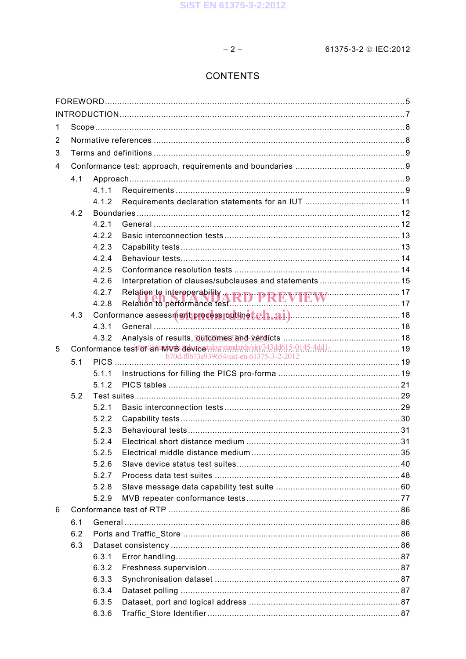## **CONTENTS**

| 1 |     |                |                                                                                                                         |  |  |
|---|-----|----------------|-------------------------------------------------------------------------------------------------------------------------|--|--|
| 2 |     |                |                                                                                                                         |  |  |
| 3 |     |                |                                                                                                                         |  |  |
| 4 |     |                |                                                                                                                         |  |  |
|   | 4.1 |                |                                                                                                                         |  |  |
|   |     | 4.1.1          |                                                                                                                         |  |  |
|   |     | 4.1.2          |                                                                                                                         |  |  |
|   | 4.2 |                |                                                                                                                         |  |  |
|   |     | 4.2.1          |                                                                                                                         |  |  |
|   |     | 4.2.2          |                                                                                                                         |  |  |
|   |     | 4.2.3          |                                                                                                                         |  |  |
|   |     | 4.2.4          |                                                                                                                         |  |  |
|   |     | 4.2.5          |                                                                                                                         |  |  |
|   |     | 4.2.6          |                                                                                                                         |  |  |
|   |     | 4.2.7          |                                                                                                                         |  |  |
|   |     | 4.2.8          |                                                                                                                         |  |  |
|   | 4.3 |                |                                                                                                                         |  |  |
|   |     | 4.3.1          |                                                                                                                         |  |  |
|   |     | 4.3.2          |                                                                                                                         |  |  |
| 5 |     |                | Conformance test tot an MVB device talog standards/sist/343dd615-0145-4dd1-<br>b70d-f0b73a939654/sist-en-61375-3-2-2012 |  |  |
|   | 5.1 |                |                                                                                                                         |  |  |
|   |     | 5.1.1          |                                                                                                                         |  |  |
|   |     | 5.1.2          |                                                                                                                         |  |  |
|   | 5.2 |                |                                                                                                                         |  |  |
|   |     | 5.2.1          |                                                                                                                         |  |  |
|   |     | 5.2.2          |                                                                                                                         |  |  |
|   |     | 5.2.3          |                                                                                                                         |  |  |
|   |     | 5.2.4          |                                                                                                                         |  |  |
|   |     | 5.2.5<br>5.2.6 |                                                                                                                         |  |  |
|   |     | 5.2.7          |                                                                                                                         |  |  |
|   |     | 5.2.8          |                                                                                                                         |  |  |
|   |     | 5.2.9          |                                                                                                                         |  |  |
| 6 |     |                |                                                                                                                         |  |  |
|   | 6.1 |                |                                                                                                                         |  |  |
|   | 6.2 |                |                                                                                                                         |  |  |
|   | 6.3 |                |                                                                                                                         |  |  |
|   |     | 6.3.1          |                                                                                                                         |  |  |
|   |     | 6.3.2          |                                                                                                                         |  |  |
|   |     | 6.3.3          |                                                                                                                         |  |  |
|   |     | 6.3.4          |                                                                                                                         |  |  |
|   |     | 6.3.5          |                                                                                                                         |  |  |
|   |     | 6.3.6          |                                                                                                                         |  |  |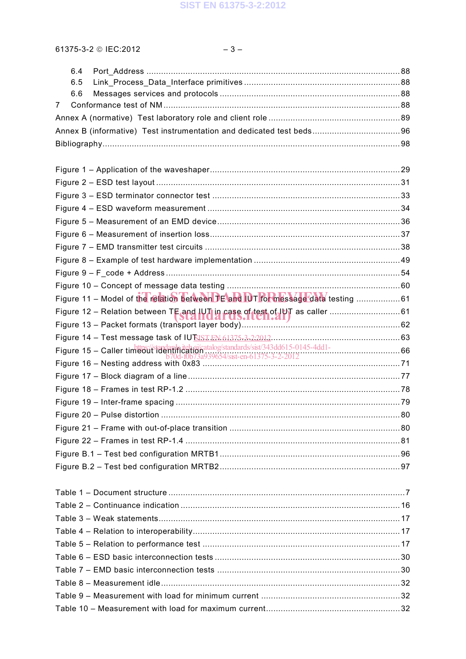| 6.4                                                                                                                               |  |
|-----------------------------------------------------------------------------------------------------------------------------------|--|
| 6.5                                                                                                                               |  |
| 6.6<br>7                                                                                                                          |  |
|                                                                                                                                   |  |
|                                                                                                                                   |  |
|                                                                                                                                   |  |
|                                                                                                                                   |  |
|                                                                                                                                   |  |
|                                                                                                                                   |  |
|                                                                                                                                   |  |
|                                                                                                                                   |  |
|                                                                                                                                   |  |
|                                                                                                                                   |  |
|                                                                                                                                   |  |
|                                                                                                                                   |  |
|                                                                                                                                   |  |
|                                                                                                                                   |  |
|                                                                                                                                   |  |
|                                                                                                                                   |  |
|                                                                                                                                   |  |
|                                                                                                                                   |  |
| Figure 15 - Caller timebulstandards itch aikatalog/standards/sist/343dd615-0145-4dd1-<br>570d-f0b73a939654/sist-en-61375-3-2-2012 |  |
|                                                                                                                                   |  |
|                                                                                                                                   |  |
|                                                                                                                                   |  |
|                                                                                                                                   |  |
|                                                                                                                                   |  |
|                                                                                                                                   |  |
|                                                                                                                                   |  |
|                                                                                                                                   |  |
|                                                                                                                                   |  |
|                                                                                                                                   |  |
|                                                                                                                                   |  |
|                                                                                                                                   |  |
|                                                                                                                                   |  |
|                                                                                                                                   |  |
|                                                                                                                                   |  |
|                                                                                                                                   |  |
|                                                                                                                                   |  |
|                                                                                                                                   |  |
|                                                                                                                                   |  |
|                                                                                                                                   |  |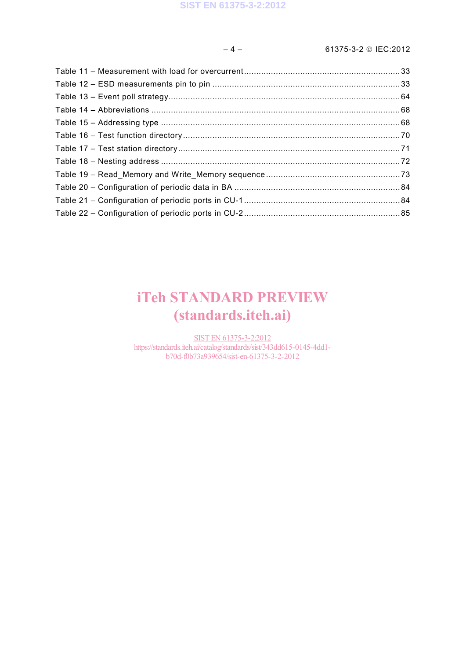#### $-4 -$  61375-3-2 © IEC:2012

# iTeh STANDARD PREVIEW (standards.iteh.ai)

SIST EN 61375-3-2:2012 https://standards.iteh.ai/catalog/standards/sist/343dd615-0145-4dd1 b70d-f0b73a939654/sist-en-61375-3-2-2012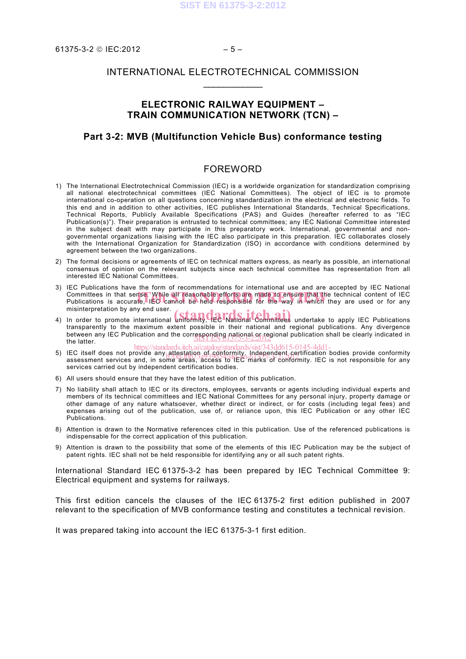#### INTERNATIONAL ELECTROTECHNICAL COMMISSION \_\_\_\_\_\_\_\_\_\_\_\_

#### **ELECTRONIC RAILWAY EQUIPMENT – TRAIN COMMUNICATION NETWORK (TCN) –**

#### **Part 3-2: MVB (Multifunction Vehicle Bus) conformance testing**

#### FOREWORD

- 1) The International Electrotechnical Commission (IEC) is a worldwide organization for standardization comprising all national electrotechnical committees (IEC National Committees). The object of IEC is to promote international co-operation on all questions concerning standardization in the electrical and electronic fields. To this end and in addition to other activities, IEC publishes International Standards, Technical Specifications, Technical Reports, Publicly Available Specifications (PAS) and Guides (hereafter referred to as "IEC Publication(s)"). Their preparation is entrusted to technical committees; any IEC National Committee interested in the subject dealt with may participate in this preparatory work. International, governmental and nongovernmental organizations liaising with the IEC also participate in this preparation. IEC collaborates closely with the International Organization for Standardization (ISO) in accordance with conditions determined by agreement between the two organizations.
- 2) The formal decisions or agreements of IEC on technical matters express, as nearly as possible, an international consensus of opinion on the relevant subjects since each technical committee has representation from all interested IEC National Committees.
- 3) IEC Publications have the form of recommendations for international use and are accepted by IEC National Committees in that sense. While all reasonable efforts are made to ensure that the technical content of IEC Committees in that sense. While all reasonable efforts are made to ensure that the technical content of IEC<br>Publications is accurate, IEC cannot be held responsible for the way in which they are used or for any misinterpretation by any end user.
- misinterpretation by any end user.<br>4) In order to promote international uniformity, IEC National Committees undertake to apply IEC Publications transparently to the maximum extent possible in their national and regional publications. Any divergence between any IEC Publication and the corresponding national or regional publication shall be clearly indicated in<br>the latter the latter.
- 5) IEC itself does not provide any attestation of conformity. Independent certification bodies provide conformity assessment services and, in some areas, access to IEC marks of conformity. IEC is not responsible for any services carried out by independent certification bodies. https://standards.iteh.ai/catalog/standards/sist/343dd615-0145-4dd1 allesianon of conformity. Independent cen-<br>b/d-f0as-3822685-699FC-marks-of-conform
- 6) All users should ensure that they have the latest edition of this publication.
- 7) No liability shall attach to IEC or its directors, employees, servants or agents including individual experts and members of its technical committees and IEC National Committees for any personal injury, property damage or other damage of any nature whatsoever, whether direct or indirect, or for costs (including legal fees) and expenses arising out of the publication, use of, or reliance upon, this IEC Publication or any other IEC Publications.
- 8) Attention is drawn to the Normative references cited in this publication. Use of the referenced publications is indispensable for the correct application of this publication.
- 9) Attention is drawn to the possibility that some of the elements of this IEC Publication may be the subject of patent rights. IEC shall not be held responsible for identifying any or all such patent rights.

International Standard IEC 61375-3-2 has been prepared by IEC Technical Committee 9: Electrical equipment and systems for railways.

This first edition cancels the clauses of the IEC 61375-2 first edition published in 2007 relevant to the specification of MVB conformance testing and constitutes a technical revision.

It was prepared taking into account the IEC 61375-3-1 first edition.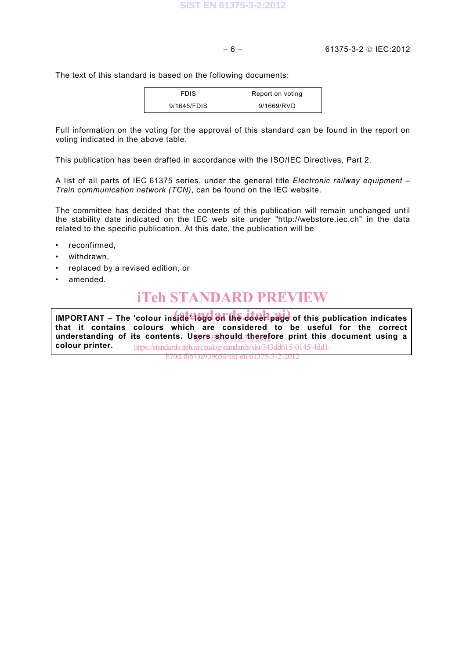The text of this standard is based on the following documents:

| <b>FDIS</b> | Report on voting |
|-------------|------------------|
| 9/1645/FDIS | 9/1669/RVD       |

Full information on the voting for the approval of this standard can be found in the report on voting indicated in the above table.

This publication has been drafted in accordance with the ISO/IEC Directives, Part 2.

A list of all parts of IEC 61375 series, under the general title *Electronic railway equipment – Train communication network (TCN)*, can be found on the IEC website.

The committee has decided that the contents of this publication will remain unchanged until the stability date indicated on the IEC web site under "http://webstore.iec.ch" in the data related to the specific publication. At this date, the publication will be

- reconfirmed.
- withdrawn,
- replaced by a revised edition, or
- amended.

## iTeh STANDARD PREVIEW

**IMPORTANT – The 'colour inside and at the cover page** of this publication indicates **that it contains colours which are considered to be useful for the correct**  understanding of its contents. U<u>sers $_{\rm E}$ should theref</u>ore print this document using a **colour printer.** https://standards.iteh.ai/catalog/standards/sist/343dd615-0145-4dd1-

b70d-f0b73a939654/sist-en-61375-3-2-2012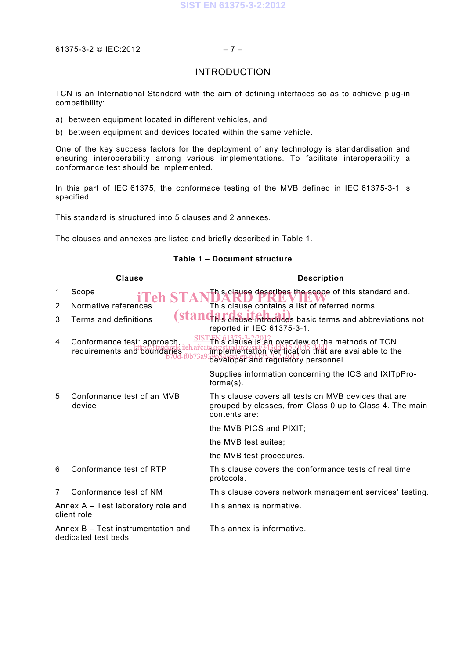#### INTRODUCTION

TCN is an International Standard with the aim of defining interfaces so as to achieve plug-in compatibility:

a) between equipment located in different vehicles, and

b) between equipment and devices located within the same vehicle.

One of the key success factors for the deployment of any technology is standardisation and ensuring interoperability among various implementations. To facilitate interoperability a conformance test should be implemented.

In this part of IEC 61375, the conformace testing of the MVB defined in IEC 61375-3-1 is specified.

This standard is structured into 5 clauses and 2 annexes.

The clauses and annexes are listed and briefly described in Table 1.

#### **Table 1 – Document structure**

|                                                           | <b>Clause</b>                                              | <b>Description</b>                                                                                                                               |
|-----------------------------------------------------------|------------------------------------------------------------|--------------------------------------------------------------------------------------------------------------------------------------------------|
| 1                                                         | Scope<br>i Feh                                             | This clause describes the scope of this standard and.                                                                                            |
| 2.                                                        | Normative references                                       | This clause contains a list of referred norms.                                                                                                   |
| 3                                                         | Terms and definitions                                      | This clause introduces basic terms and abbreviations not<br>reported in IEC 61375-3-1.                                                           |
| 4                                                         | Conformance test: approach,<br>requirements and boundaries | this clause is an overview of the methods of TCN<br>implementation verification that are available to the<br>developer and regulatory personnel. |
|                                                           |                                                            | Supplies information concerning the ICS and IXITpPro-<br>$forma(s)$ .                                                                            |
| 5                                                         | Conformance test of an MVB<br>device                       | This clause covers all tests on MVB devices that are<br>grouped by classes, from Class 0 up to Class 4. The main<br>contents are:                |
|                                                           |                                                            | the MVB PICS and PIXIT;                                                                                                                          |
|                                                           |                                                            | the MVB test suites;                                                                                                                             |
|                                                           |                                                            | the MVB test procedures.                                                                                                                         |
| 6                                                         | Conformance test of RTP                                    | This clause covers the conformance tests of real time<br>protocols.                                                                              |
| $\overline{7}$                                            | Conformance test of NM                                     | This clause covers network management services' testing.                                                                                         |
|                                                           | Annex A – Test laboratory role and<br>client role          | This annex is normative.                                                                                                                         |
| Annex B – Test instrumentation and<br>dedicated test beds |                                                            | This annex is informative.                                                                                                                       |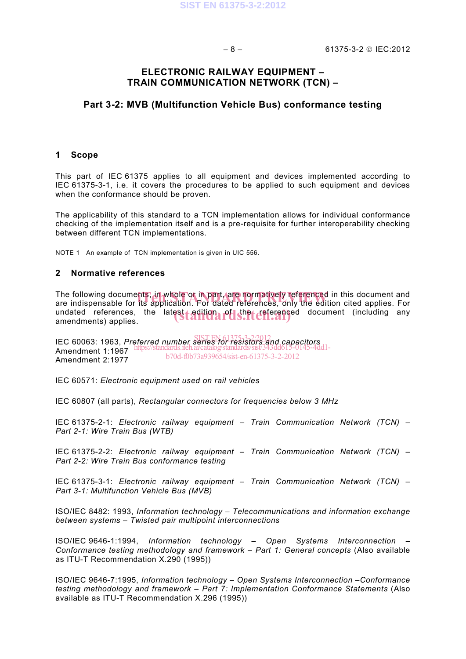#### **ELECTRONIC RAILWAY EQUIPMENT – TRAIN COMMUNICATION NETWORK (TCN) –**

#### **Part 3-2: MVB (Multifunction Vehicle Bus) conformance testing**

#### **1 Scope**

This part of IEC 61375 applies to all equipment and devices implemented according to IEC 61375-3-1, i.e. it covers the procedures to be applied to such equipment and devices when the conformance should be proven.

The applicability of this standard to a TCN implementation allows for individual conformance checking of the implementation itself and is a pre-requisite for further interoperability checking between different TCN implementations.

NOTE 1 An example of TCN implementation is given in UIC 556.

#### **2 Normative references**

The following documents, in whole or in part, are normatively referenced in this document and<br>are indispensable for its application. For dated references, only the edition cited applies. For are indispensable for its application. For dated references, only the edition cited applies. For undated references, the latest edition of the referenced document (including any<br>amendments) applies. amendments) applies.

IEC 60063: 1963, *Preferred number series for resistors and capacitors*  SIST EN 61375-3-2:2012 Amendment 1:1967 Amendment 2:1977 https://standards.iteh.ai/catalog/standards/sist/343dd615-0145-4dd1 b70d-f0b73a939654/sist-en-61375-3-2-2012

IEC 60571: *Electronic equipment used on rail vehicles*

IEC 60807 (all parts), *Rectangular connectors for frequencies below 3 MHz*

IEC 61375-2-1: *Electronic railway equipment – Train Communication Network (TCN) – Part 2-1: Wire Train Bus (WTB)*

IEC 61375-2-2: *Electronic railway equipment – Train Communication Network (TCN) – Part 2-2: Wire Train Bus conformance testing*

IEC 61375-3-1: *Electronic railway equipment – Train Communication Network (TCN) – Part 3-1: Multifunction Vehicle Bus (MVB)*

ISO/IEC 8482: 1993, *Information technology – Telecommunications and information exchange between systems – Twisted pair multipoint interconnections*

ISO/IEC 9646-1:1994, *Information technology – Open Systems Interconnection – Conformance testing methodology and framework – Part 1: General concepts* (Also available as ITU-T Recommendation X.290 (1995))

ISO/IEC 9646-7:1995, *Information technology – Open Systems Interconnection –Conformance testing methodology and framework – Part 7: Implementation Conformance Statements* (Also available as ITU-T Recommendation X.296 (1995))